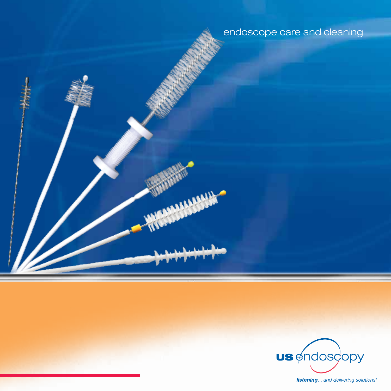endoscope care and cleaning

**MARKHAM** 



**listening...** and delivering solutions<sup>®</sup>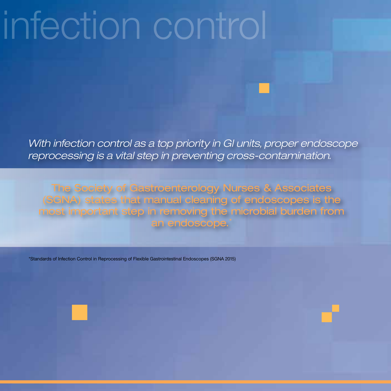# infection control

*With infection control as a top priority in GI units, proper endoscope reprocessing is a vital step in preventing cross-contamination.*

The Society of Gastroenterology Nurses & Associates (SGNA) states that manual cleaning of endoscopes is the most important step in removing the microbial burden from an endoscope.

\*Standards of Infection Control in Reprocessing of Flexible Gastrointestinal Endoscopes (SGNA 2015)

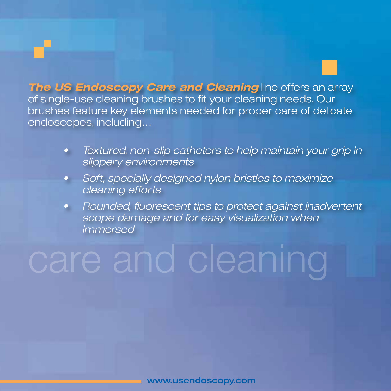**The US Endoscopy Care and Cleaning** line offers an array of single-use cleaning brushes to fit your cleaning needs. Our brushes feature key elements needed for proper care of delicate endoscopes, including…

- *• Textured, non-slip catheters to help maintain your grip in slippery environments*
- *• Soft, specially designed nylon bristles to maximize cleaning efforts*
- *• Rounded, fluorescent tips to protect against inadvertent scope damage and for easy visualization when immersed*

## care and cleaning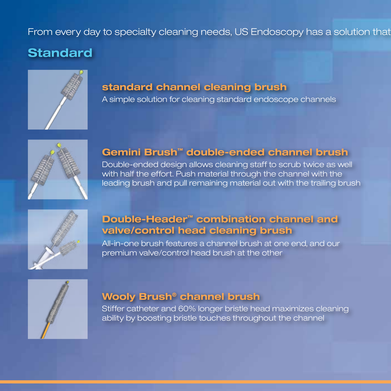#### From every day to specialty cleaning needs, US Endoscopy has a solution that

## **Standard**



#### **standard channel cleaning brush**

A simple solution for cleaning standard endoscope channels



#### **Gemini Brush™ double-ended channel brush**

Double-ended design allows cleaning staff to scrub twice as well with half the effort. Push material through the channel with the leading brush and pull remaining material out with the trailing brush



#### **Double-Header™ combination channel and valve/control head cleaning brush**

All-in-one brush features a channel brush at one end, and our premium valve/control head brush at the other



#### **Wooly Brush® channel brush**

Stiffer catheter and 60% longer bristle head maximizes cleaning ability by boosting bristle touches throughout the channel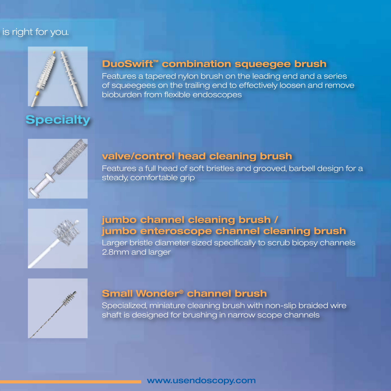#### is right for you.



**Specialty**

#### **DuoSwift™ combination squeegee brush**

Features a tapered nylon brush on the leading end and a series of squeegees on the trailing end to effectively loosen and remove bioburden from flexible endoscopes



#### **valve/control head cleaning brush**

Features a full head of soft bristles and grooved, barbell design for a steady, comfortable grip



#### **jumbo channel cleaning brush / jumbo enteroscope channel cleaning brush**

Larger bristle diameter sized specifically to scrub biopsy channels 2.8mm and larger



#### **Small Wonder® channel brush**

Specialized, miniature cleaning brush with non-slip braided wire shaft is designed for brushing in narrow scope channels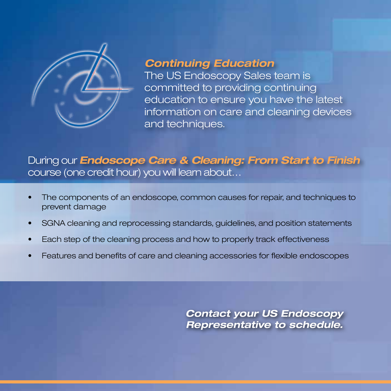

## *Continuing Education*

The US Endoscopy Sales team is committed to providing continuing education to ensure you have the latest information on care and cleaning devices and techniques.

## During our *Endoscope Care & Cleaning: From Start to Finish*  course (one credit hour) you will learn about…

- The components of an endoscope, common causes for repair, and techniques to prevent damage
- SGNA cleaning and reprocessing standards, guidelines, and position statements
- Each step of the cleaning process and how to properly track effectiveness
- Features and benefits of care and cleaning accessories for flexible endoscopes

*Contact your US Endoscopy Representative to schedule.*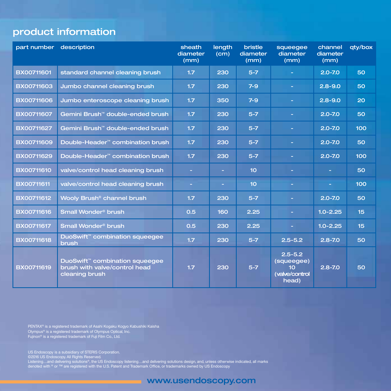## product information

| part number description |                                                                                          | sheath<br>diameter<br>(mm) | length<br>(cm) | bristle<br>diameter<br>(mm) | squeeqee<br>diameter<br>(mm)                                            | channel<br>diameter<br>(mm) | qty/box          |
|-------------------------|------------------------------------------------------------------------------------------|----------------------------|----------------|-----------------------------|-------------------------------------------------------------------------|-----------------------------|------------------|
| BX00711601              | standard channel cleaning brush                                                          | 1.7                        | 230            | $5 - 7$                     |                                                                         | $2.0 - 7.0$                 | 50               |
| <b>BX00711603</b>       | Jumbo channel cleaning brush                                                             | 1.7                        | 230            | $7 - 9$                     |                                                                         | $2.8 - 9.0$                 | 50               |
| BX00711606              | Jumbo enteroscope cleaning brush                                                         | 1.7                        | 350            | $7-9$                       | ۳                                                                       | $2.8 - 9.0$                 | 20               |
| <b>BX00711607</b>       | Gemini Brush <sup>™</sup> double-ended brush                                             | 1.7                        | 230            | $5 - 7$                     | н                                                                       | $2.0 - 7.0$                 | 50               |
| BX00711627              | Gemini Brush <sup>™</sup> double-ended brush                                             | 1.7                        | 230            | $5 - 7$                     | ÷.                                                                      | $2.0 - 7.0$                 | 100              |
| <b>BX00711609</b>       | Double-Header <sup>™</sup> combination brush                                             | 1.7                        | 230            | $5 - 7$                     | ٠                                                                       | $2.0 - 7.0$                 | 50               |
| BX00711629              | Double-Header <sup>™</sup> combination brush                                             | 1.7                        | 230            | $5 - 7$                     | н                                                                       | $2.0 - 7.0$                 | 100              |
| BX00711610              | valve/control head cleaning brush                                                        | ÷                          | ×.             | 10 <sub>1</sub>             | ÷.                                                                      | ÷.                          | 50               |
| <b>BX00711611</b>       | valve/control head cleaning brush                                                        | ÷                          | ٠              | 10                          | ۳                                                                       | ٠                           | 100              |
| <b>BX00711612</b>       | Wooly Brush <sup>®</sup> channel brush                                                   | 1.7                        | 230            | $5 - 7$                     |                                                                         | $2.0 - 7.0$                 | 50               |
| BX00711616              | Small Wonder <sup>®</sup> brush                                                          | 0.5                        | 160            | 2.25                        | ÷.                                                                      | $1.0 - 2.25$                | 15 <sub>15</sub> |
| BX00711617              | Small Wonder <sup>®</sup> brush                                                          | 0.5                        | 230            | 2.25                        |                                                                         | $1.0 - 2.25$                | 15               |
| BX00711618              | DuoSwift <sup>"</sup> combination squeegee<br><b>brush</b>                               | 1.7                        | 230            | $5 - 7$                     | $2.5 - 5.2$                                                             | $2.8 - 7.0$                 | 50               |
| <b>BX00711619</b>       | <b>DuoSwift™ combination squeeqee</b><br>brush with valve/control head<br>cleaning brush | 1.7                        | 230            | $5-7$                       | $2.5 - 5.2$<br>(squeegee)<br>10 <sub>1</sub><br>(valve/control<br>head) | $2.8 - 7.0$                 | 50               |

PENTAX® is a registered trademark of Asahi Kogaku Kogyo Kabushiki Kaisha<br>Olympus® is a registered trademark of Olympus Optical, Inc.<br>Fujinon® is a registered trademark of Fuji Film Co., Ltd.

US Endoscopy is a subsidiary of STERIS Corporation.<br>©2016 US Endoscopy. All Rights Reserved.<br>Listening…and delivering solutions®, the US Endoscopy listening…and delivering solutions design, and, unless otherwise indicated

www.usendoscopy.com